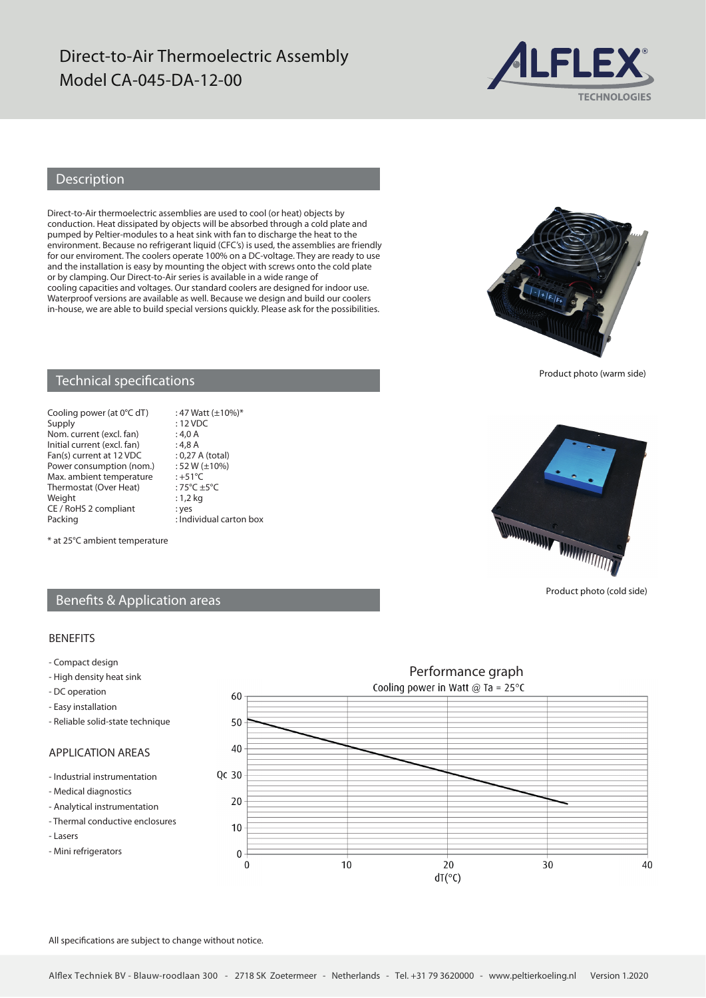## Direct-to-Air Thermoelectric Assembly Model CA-045-DA-12-00



### Description

Direct-to-Air thermoelectric assemblies are used to cool (or heat) objects by conduction. Heat dissipated by objects will be absorbed through a cold plate and pumped by Peltier-modules to a heat sink with fan to discharge the heat to the environment. Because no refrigerant liquid (CFC's) is used, the assemblies are friendly for our enviroment. The coolers operate 100% on a DC-voltage. They are ready to use and the installation is easy by mounting the object with screws onto the cold plate or by clamping. Our Direct-to-Air series is available in a wide range of cooling capacities and voltages. Our standard coolers are designed for indoor use. Waterproof versions are available as well. Because we design and build our coolers in-house, we are able to build special versions quickly. Please ask for the possibilities.



Product photo (warm side)

#### Technical specifications

Cooling power (at  $0^{\circ}$ C dT) : 47 Watt ( $\pm$ 10%)\* Supply<br>
Nom. current (excl. fan) : 4.0 A Nom. current (excl. fan) : 4,0 A<br>Initial current (excl. fan) : 4,8 A Initial current (excl. fan) : 4,8 A<br>Fan(s) current at 12 VDC : 0,27 A (total) Fan(s) current at 12 VDC : 0,27 A (total)<br>Power consumption (nom.) : 52 W ( $\pm$ 10%) Power consumption (nom.)  $: 52 W$  (<br>Max ambient temperature  $: +51^{\circ}C$ Max. ambient temperature : +51°C<br>Thermostat (Over Heat) : 75°C +5°C Thermostat (Over Heat) :  $75^{\circ}C \pm$ <br>Weight : 1,2 kg Weight CE / RoHS 2 compliant : yes<br>Packing : Ind

 $:$  Individual carton box



Product photo (cold side)

#### \* at 25°C ambient temperature

#### Benefits & Application areas

#### BENEFITS

- Compact design
- High density heat sink
- DC operation
- Easy installation
- Reliable solid-state technique

### APPLICATION AREAS

- Industrial instrumentation
- Medical diagnostics
- Analytical instrumentation
- Thermal conductive enclosures
- Lasers
- Mini refrigerators



All specifications are subject to change without notice.